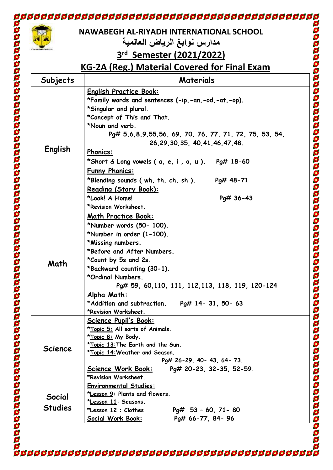|                | NAWABEGH AL-RIYADH INTERNATIONAL SCHOOL                                             |
|----------------|-------------------------------------------------------------------------------------|
|                | مدارس نوابغ الرياض العالمية                                                         |
|                | 3rd Semester (2021/2022)                                                            |
|                | <u>KG-2A (Reg.) Material Covered for Final Exam</u>                                 |
| Subjects       | <b>Materials</b>                                                                    |
| English        |                                                                                     |
|                | <b>English Practice Book:</b><br>*Family words and sentences (-ip,-an,-od,-at,-op). |
|                | *Singular and plural.                                                               |
|                | *Concept of This and That.                                                          |
|                | *Noun and verb.                                                                     |
|                | Pq# 5,6,8,9,55,56, 69, 70, 76, 77, 71, 72, 75, 53, 54,                              |
|                | 26.29.30.35.40.41.46.47.48.                                                         |
|                | <b>Phonics:</b>                                                                     |
|                | *Short & Long vowels ( $a, e, i, o, u$ ). Pg# 18-60                                 |
|                | <b>Funny Phonics:</b>                                                               |
|                | *Blending sounds ( wh, th, ch, sh ).<br>Pg# 48-71                                   |
|                | Reading (Story Book):                                                               |
|                | *Look! A Home!<br>Pg# 36-43                                                         |
|                | *Revision Worksheet.                                                                |
| Math           | Math Practice Book:                                                                 |
|                |                                                                                     |
|                | *Number words (50- 100).                                                            |
|                | *Number in order (1-100).                                                           |
|                | *Missing numbers.<br>*Before and After Numbers.                                     |
|                |                                                                                     |
|                | *Count by 5s and 2s.<br>*Backward counting (30-1).                                  |
|                | *Ordinal Numbers.                                                                   |
|                | Pg# 59, 60, 110, 111, 112, 113, 118, 119, 120-124                                   |
|                | <u>Alpha Math:</u>                                                                  |
|                | *Addition and subtraction.<br>Pq# 14- 31, 50- 63                                    |
|                | *Revision Worksheet.                                                                |
| <b>Science</b> | <b>Science Pupil's Book:</b>                                                        |
|                | *Topic 5: All sorts of Animals.                                                     |
|                | *Topic 8: My Body.                                                                  |
|                | *Topic 13: The Earth and the Sun.                                                   |
|                | *Topic 14: Weather and Season.                                                      |
|                | Pg# 26-29, 40- 43, 64- 73.                                                          |
|                | Pg# 20-23, 32-35, 52-59.<br><u> Science Work Book:</u><br>*Revision Worksheet.      |
|                | <b>Environmental Studies:</b>                                                       |
| Social         | *Lesson 9: Plants and flowers.                                                      |
| <b>Studies</b> | *Lesson 11: Seasons.                                                                |
|                | $Pq# 53 - 60, 71 - 80$<br>* <u>Lesson 12</u> : Clothes.                             |
|                | Social Work Book:<br>Pg# 66-77, 84- 96                                              |